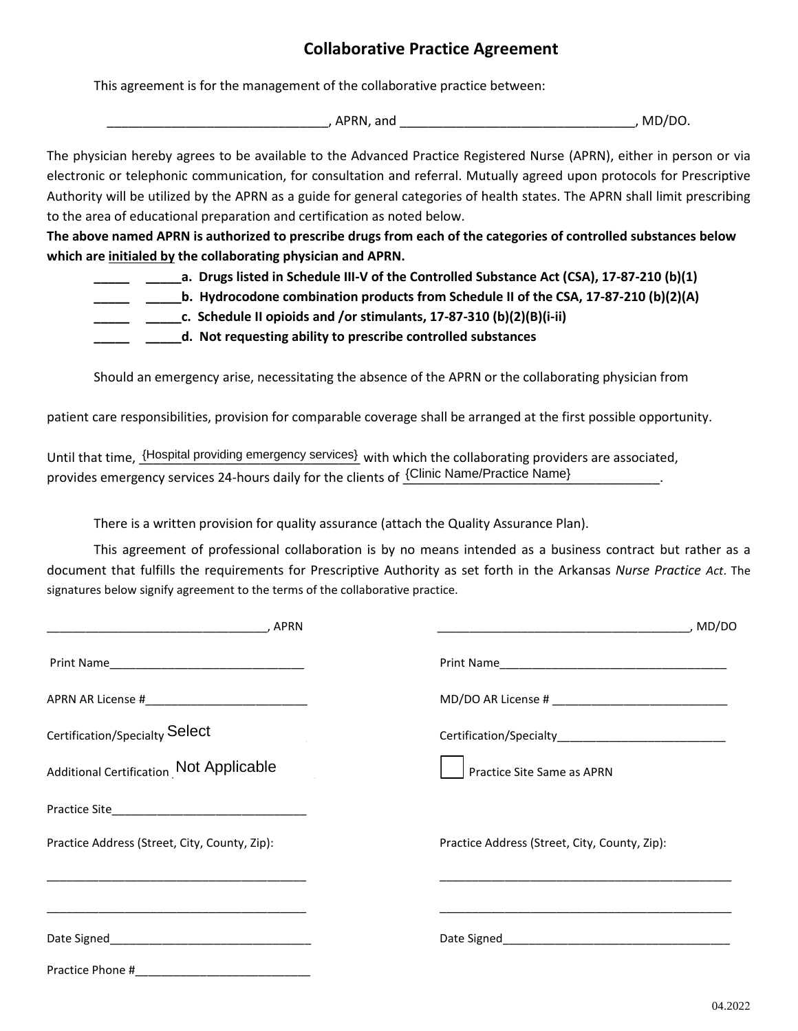## **Collaborative Practice Agreement**

This agreement is for the management of the collaborative practice between:

\_\_\_\_\_\_\_\_\_\_\_\_\_\_\_\_\_\_\_\_\_\_\_\_\_\_\_\_\_\_\_, APRN, and \_\_\_\_\_\_\_\_\_\_\_\_\_\_\_\_\_\_\_\_\_\_\_\_\_\_\_\_\_\_\_\_\_, MD/DO.

The physician hereby agrees to be available to the Advanced Practice Registered Nurse (APRN), either in person or via electronic or telephonic communication, for consultation and referral. Mutually agreed upon protocols for Prescriptive Authority will be utilized by the APRN as a guide for general categories of health states. The APRN shall limit prescribing to the area of educational preparation and certification as noted below.

**The above named APRN is authorized to prescribe drugs from each of the categories of controlled substances below which are initialed by the collaborating physician and APRN.** 

- **\_\_\_\_\_ \_\_\_\_\_a. Drugs listed in Schedule III-V of the Controlled Substance Act (CSA), 17-87-210 (b)(1)**
	- **\_\_\_\_\_ \_\_\_\_\_b. Hydrocodone combination products from Schedule II of the CSA, 17-87-210 (b)(2)(A)**
	- **\_\_\_\_\_ \_\_\_\_\_c. Schedule II opioids and /or stimulants, 17-87-310 (b)(2)(B)(i-ii)**
	- **\_\_\_\_\_ \_\_\_\_\_d. Not requesting ability to prescribe controlled substances**

Should an emergency arise, necessitating the absence of the APRN or the collaborating physician from

patient care responsibilities, provision for comparable coverage shall be arranged at the first possible opportunity.

Until that time,  $\frac{\text{[Hospital providing emergency services]}}{\text{with which the collaborating providers are associated,}}$ provides emergency services 24-hours daily for the clients of  $\frac{\{\text{Clinic Name/Practice Name}\}}{\text{Clinic Name}}$ 

There is a written provision for quality assurance (attach the Quality Assurance Plan).

This agreement of professional collaboration is by no means intended as a business contract but rather as a document that fulfills the requirements for Prescriptive Authority as set forth in the Arkansas *Nurse Practice Act*. The signatures below signify agreement to the terms of the collaborative practice.

| Certification/Specialty Select                                                                                                                                                                    | Certification/Specialty_______________________________ |
|---------------------------------------------------------------------------------------------------------------------------------------------------------------------------------------------------|--------------------------------------------------------|
| <b>Additional Certification Not Applicable</b>                                                                                                                                                    | Practice Site Same as APRN                             |
|                                                                                                                                                                                                   |                                                        |
| Practice Address (Street, City, County, Zip):                                                                                                                                                     | Practice Address (Street, City, County, Zip):          |
| <u> 1999 - Jan James Barnett, amerikansk politiker (d. 1989)</u><br><u> 1989 - Johann John Stone, mars et al. 1989 - John Stone, mars et al. 1989 - John Stone, mars et al. 1989 - John Stone</u> |                                                        |
|                                                                                                                                                                                                   |                                                        |
| Practice Phone #                                                                                                                                                                                  |                                                        |